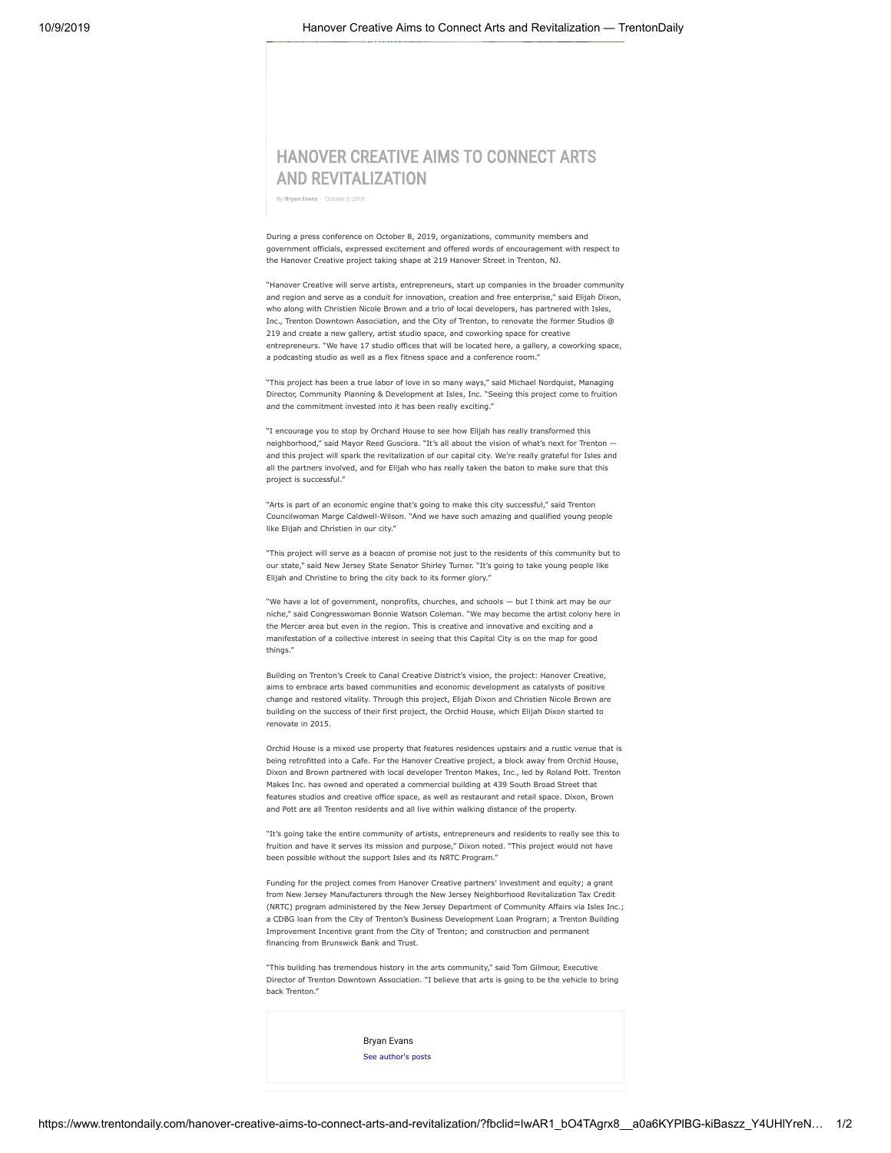## HANOVER CREATIVE AIMS TO CONNECT ARTS AND [REVITALIZATION](https://www.trentondaily.com/wp-content/uploads/2019/10/20191008_103241.jpg)

By **[Bryan](https://www.trentondaily.com/author/admin/) Evans** - October 9, 2019

During a press conference on October 8, 2019, organizations, community members and government officials, expressed excitement and offered words of encouragement with respect to the Hanover Creative project taking shape at 219 Hanover Street in Trenton, NJ.

"Hanover Creative will serve artists, entrepreneurs, start up companies in the broader community and region and serve as a conduit for innovation, creation and free enterprise," said Elijah Dixon, who along with Christien Nicole Brown and a trio of local developers, has partnered with Isles, Inc., Trenton Downtown Association, and the City of Trenton, to renovate the former Studios @ 219 and create a new gallery, artist studio space, and coworking space for creative entrepreneurs. "We have 17 studio offices that will be located here, a gallery, a coworking space, a podcasting studio as well as a flex fitness space and a conference room."

"This project has been a true labor of love in so many ways," said Michael Nordquist, Managing Director, Community Planning & Development at Isles, Inc. "Seeing this project come to fruition and the commitment invested into it has been really exciting."

"I encourage you to stop by Orchard House to see how Elijah has really transformed this neighborhood," said Mayor Reed Gusciora. "It's all about the vision of what's next for Trenton and this project will spark the revitalization of our capital city. We're really grateful for Isles and all the partners involved, and for Elijah who has really taken the baton to make sure that this project is successful."

"Arts is part of an economic engine that's going to make this city successful," said Trenton Councilwoman Marge Caldwell-Wilson. "And we have such amazing and qualified young people like Elijah and Christien in our city."

"This project will serve as a beacon of promise not just to the residents of this community but to our state," said New Jersey State Senator Shirley Turner. "It's going to take young people like Elijah and Christine to bring the city back to its former glory."

"We have a lot of government, nonprofits, churches, and schools — but I think art may be our niche," said Congresswoman Bonnie Watson Coleman. "We may become the artist colony here in the Mercer area but even in the region. This is creative and innovative and exciting and a manifestation of a collective interest in seeing that this Capital City is on the map for good things."

Building on Trenton's Creek to Canal Creative District's vision, the project: Hanover Creative, aims to embrace arts based communities and economic development as catalysts of positive change and restored vitality. Through this project, Elijah Dixon and Christien Nicole Brown are building on the success of their first project, the Orchid House, which Elijah Dixon started to renovate in 2015.

Orchid House is a mixed use property that features residences upstairs and a rustic venue that is being retrofitted into a Cafe. For the Hanover Creative project, a block away from Orchid House, Dixon and Brown partnered with local developer Trenton Makes, Inc., led by Roland Pott. Trenton Makes Inc. has owned and operated a commercial building at 439 South Broad Street that features studios and creative office space, as well as restaurant and retail space. Dixon, Brown and Pott are all Trenton residents and all live within walking distance of the property.

"It's going take the entire community of artists, entrepreneurs and residents to really see this to fruition and have it serves its mission and purpose," Dixon noted. "This project would not have been possible without the support Isles and its NRTC Program."

Funding for the project comes from Hanover Creative partners' investment and equity; a grant from New Jersey Manufacturers through the New Jersey Neighborhood Revitalization Tax Credit (NRTC) program administered by the New Jersey Department of Community Affairs via Isles Inc.; a CDBG loan from the City of Trenton's Business Development Loan Program; a Trenton Building Improvement Incentive grant from the City of Trenton; and construction and permanent financing from Brunswick Bank and Trust.

"This building has tremendous history in the arts community," said Tom Gilmour, Executive Director of Trenton Downtown Association. "I believe that arts is going to be the vehicle to bring back Trenton.

> [Bryan Evans](https://www.trentondaily.com/author/admin/) [See author's posts](https://www.trentondaily.com/author/admin/)